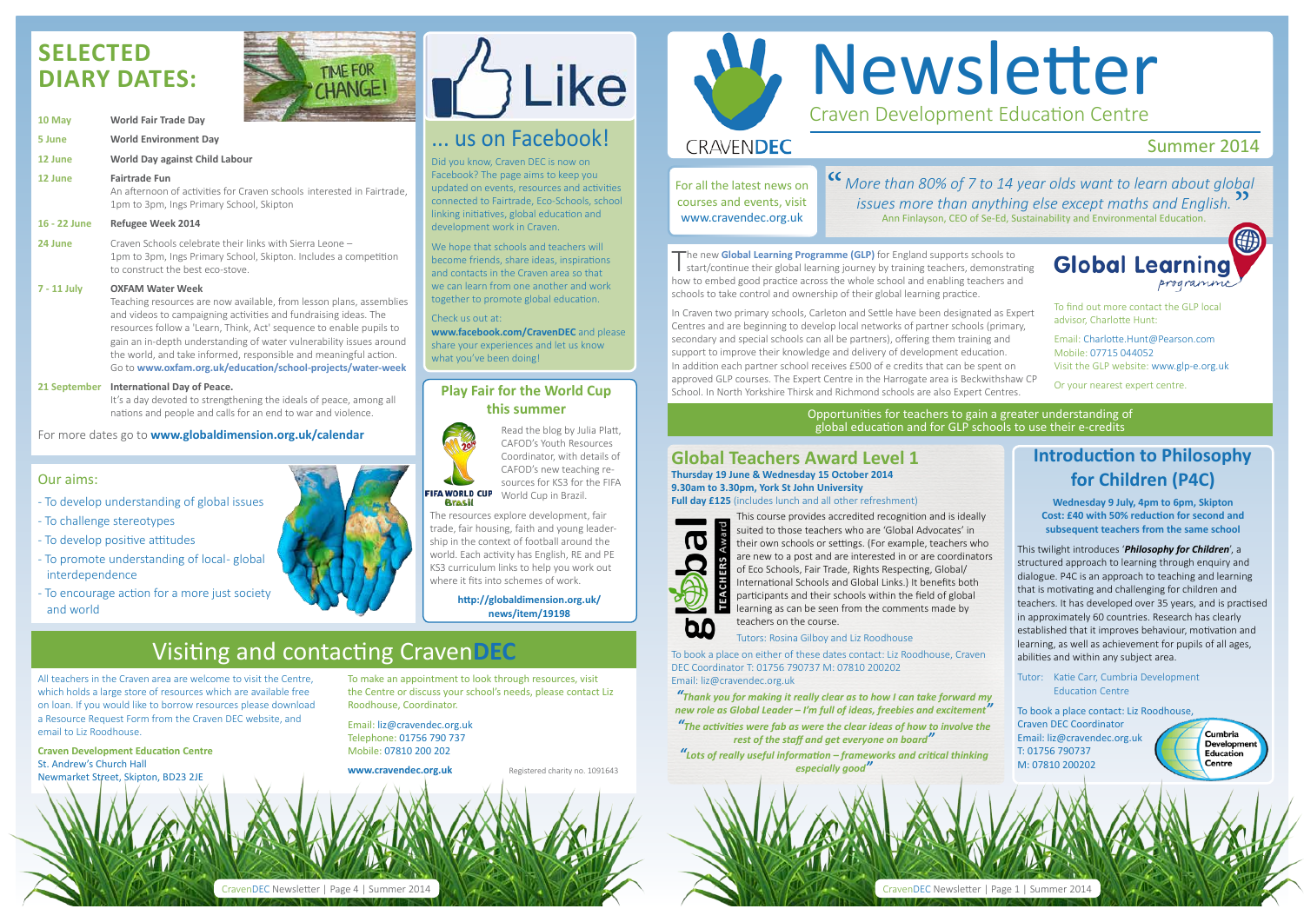## Newsletter Craven Development Education Centre

#### **CRAVENDEC**

#### Summer 2014

**Global Learning** programme

**"** More than 80% of 7 to 14 year olds want to learn about global *issues more than anything else except maths and English. issues more than anything else except maths and English.* Ann Finlayson, CEO of Se-Ed, Sustainability and Environmental Education.

All teachers in the Craven area are welcome to visit the Centre, which holds a large store of resources which are available free on loan. If you would like to borrow resources please download a Resource Request Form from the Craven DEC website, and email to Liz Roodhouse.

**Craven Development Education Centre** St. Andrew's Church Hall Newmarket Street, Skipton, BD23 2JE

To make an appointment to look through resources, visit the Centre or discuss your school's needs, please contact Liz Roodhouse, Coordinator.

Email: liz@cravendec.org.uk Telephone: 01756 790 737 Mobile: 07810 200 202

**www.cravendec.org.uk** Registered charity no. 1091643



Opportunities for teachers to gain a greater understanding of global education and for GLP schools to use their e-credits

## **Selected diary dates:**



We hope that schools and teachers will become friends, share ideas, inspirations and contacts in the Craven area so that we can learn from one another and work together to promote global education.

| 10 May       | <b>World Fair Trade Day</b>                                                                                                                                                                                                                                                                                                                                                                                                                        |
|--------------|----------------------------------------------------------------------------------------------------------------------------------------------------------------------------------------------------------------------------------------------------------------------------------------------------------------------------------------------------------------------------------------------------------------------------------------------------|
| 5 June       | <b>World Environment Day</b>                                                                                                                                                                                                                                                                                                                                                                                                                       |
| 12 June      | <b>World Day against Child Labour</b>                                                                                                                                                                                                                                                                                                                                                                                                              |
| 12 June      | <b>Fairtrade Fun</b><br>An afternoon of activities for Craven schools interested in Fairtrade,<br>1pm to 3pm, Ings Primary School, Skipton                                                                                                                                                                                                                                                                                                         |
| 16 - 22 June | <b>Refugee Week 2014</b>                                                                                                                                                                                                                                                                                                                                                                                                                           |
| 24 June      | Craven Schools celebrate their links with Sierra Leone -<br>1pm to 3pm, Ings Primary School, Skipton. Includes a competition<br>to construct the best eco-stove.                                                                                                                                                                                                                                                                                   |
| 7 - 11 July  | <b>OXFAM Water Week</b><br>Teaching resources are now available, from lesson plans, assemblies<br>and videos to campaigning activities and fundraising ideas. The<br>resources follow a 'Learn, Think, Act' sequence to enable pupils to<br>gain an in-depth understanding of water vulnerability issues around<br>the world, and take informed, responsible and meaningful action.<br>Go to www.oxfam.org.uk/education/school-projects/water-week |
| 21 September | <b>International Day of Peace.</b>                                                                                                                                                                                                                                                                                                                                                                                                                 |

 It's a day devoted to strengthening the ideals of peace, among all nations and people and calls for an end to war and violence.

For more dates go to **www.globaldimension.org.uk/calendar** 

### ... us on Facebook!

Did you know, Craven DEC is now on Facebook? The page aims to keep you updated on events, resources and activities connected to Fairtrade, Eco-Schools, school linking initiatives, global education and development work in Craven.

Check us out at:

**www.facebook.com/CravenDEC** and please share your experiences and let us know what you've been doing!

## Visiting and contacting Craven**DEC**

#### **Play Fair for the World Cup this summer**



The new **Global Learning Programme (GLP)** for England supports schools to start/continue their global learning journey by training teachers, demonstrating how to embed good practice across the whole school and enabling teachers and schools to take control and ownership of their global learning practice.

Read the blog by Julia Platt, CAFOD's Youth Resources Coordinator, with details of CAFOD's new teaching resources for KS3 for the FIFA World Cup in Brazil.

The resources explore development, fair trade, fair housing, faith and young leadership in the context of football around the world. Each activity has English, RE and PE KS3 curriculum links to help you work out where it fits into schemes of work.

> **http://globaldimension.org.uk/ news/item/19198**

For all the latest news on courses and events, visit www.cravendec.org.uk

#### **Introduction to Philosophy for Children (P4C)**

**Wednesday 9 July, 4pm to 6pm, Skipton Cost: £40 with 50% reduction for second and subsequent teachers from the same school** 

This twilight introduces '*Philosophy for Children*', a structured approach to learning through enquiry and dialogue. P4C is an approach to teaching and learning that is motivating and challenging for children and teachers. It has developed over 35 years, and is practised in approximately 60 countries. Research has clearly established that it improves behaviour, motivation and learning, as well as achievement for pupils of all ages, abilities and within any subject area.

> Cumbria Developme Education Centre

Tutor: Katie Carr, Cumbria Development Education Centre

To book a place contact: Liz Roodhouse, Craven DEC Coordinator Email: liz@cravendec.org.uk T: 01756 790737 M: 07810 200202

#### **Global Teachers Award Level 1 Thursday 19 June & Wednesday 15 October 2014 9.30am to 3.30pm, York St John University Full day £125** (includes lunch and all other refreshment)



This course provides accredited recognition and is ideally suited to those teachers who are 'Global Advocates' in their own schools or settings. (For example, teachers who are new to a post and are interested in or are coordinators of Eco Schools, Fair Trade, Rights Respecting, Global/ International Schools and Global Links.) It benefits both participants and their schools within the field of global learning as can be seen from the comments made by teachers on the course.

Tutors: Rosina Gilboy and Liz Roodhouse

To book a place on either of these dates contact: Liz Roodhouse, Craven DEC Coordinator T: 01756 790737 M: 07810 200202 Email: liz@cravendec.org.uk

*"Thank you for making it really clear as to how I can take forward my new role as Global Leader – I'm full of ideas, freebies and excitement"*

*"The activities were fab as were the clear ideas of how to involve the rest of the staff and get everyone on board"*

*"Lots of really useful information – frameworks and critical thinking especially good"*

In Craven two primary schools, Carleton and Settle have been designated as Expert Centres and are beginning to develop local networks of partner schools (primary, secondary and special schools can all be partners), offering them training and support to improve their knowledge and delivery of development education. In addition each partner school receives £500 of e credits that can be spent on approved GLP courses. The Expert Centre in the Harrogate area is Beckwithshaw CP School. In North Yorkshire Thirsk and Richmond schools are also Expert Centres.

To find out more contact the GLP local advisor, Charlotte Hunt:

Email: Charlotte.Hunt@Pearson.com Mobile: 07715 044052 Visit the GLP website: www.glp-e.org.uk

Or your nearest expert centre.



CravenDEC Newsletter | Page 4



#### Our aims:

- To develop understanding of global issues
- To challenge stereotypes
- To develop positive attitudes
- To promote understanding of local-global interdependence
- To encourage action for a more just society and world

# Like